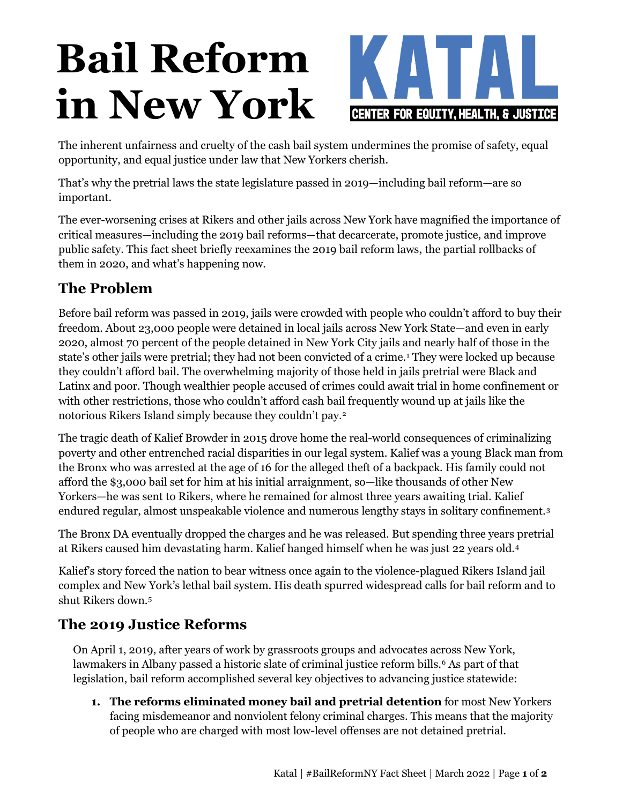# **Bail Reform in New York**



The inherent unfairness and cruelty of the cash bail system undermines the promise of safety, equal opportunity, and equal justice under law that New Yorkers cherish.

That's why the pretrial laws the state legislature passed in 2019—including bail reform—are so important.

The ever-worsening crises at Rikers and other jails across New York have magnified the importance of critical measures—including the 2019 bail reforms—that decarcerate, promote justice, and improve public safety. This fact sheet briefly reexamines the 2019 bail reform laws, the partial rollbacks of them in 2020, and what's happening now.

## **The Problem**

Before bail reform was passed in 2019, jails were crowded with people who couldn't afford to buy their freedom. About 23,000 people were detained in local jails across New York State—and even in early 2020, almost 70 percent of the people detained in New York City jails and nearly half of those in the state's other jails were pretrial; they had not been convicted of a crime.<sup>[1](#page--1-0)</sup> They were locked up because they couldn't afford bail. The overwhelming majority of those held in jails pretrial were Black and Latinx and poor. Though wealthier people accused of crimes could await trial in home confinement or with other restrictions, those who couldn't afford cash bail frequently wound up at jails like the notorious Rikers Island simply because they couldn't pay.[2](#page--1-1) 

The tragic death of Kalief Browder in 2015 drove home the real-world consequences of criminalizing poverty and other entrenched racial disparities in our legal system. Kalief was a young Black man from the Bronx who was arrested at the age of 16 for the alleged theft of a backpack. His family could not afford the \$3,000 bail set for him at his initial arraignment, so—like thousands of other New Yorkers—he was sent to Rikers, where he remained for almost three years awaiting trial. Kalief endured regular, almost unspeakable violence and numerous lengthy stays in solitary confinement.[3](#page--1-2)

The Bronx DA eventually dropped the charges and he was released. But spending three years pretrial at Rikers caused him devastating harm. Kalief hanged himself when he was just 22 years old.[4](#page--1-3)

Kalief's story forced the nation to bear witness once again to the violence-plagued Rikers Island jail complex and New York's lethal bail system. His death spurred widespread calls for bail reform and to shut Rikers down.[5](#page--1-4) 

## **The 2019 Justice Reforms**

On April 1, 2019, after years of work by grassroots groups and advocates across New York, lawmakers in Albany passed a historic slate of criminal justice reform bills.<sup>[6](#page--1-5)</sup> As part of that legislation, bail reform accomplished several key objectives to advancing justice statewide:

**1. The reforms eliminated money bail and pretrial detention** for most New Yorkers facing misdemeanor and nonviolent felony criminal charges. This means that the majority of people who are charged with most low-level offenses are not detained pretrial.